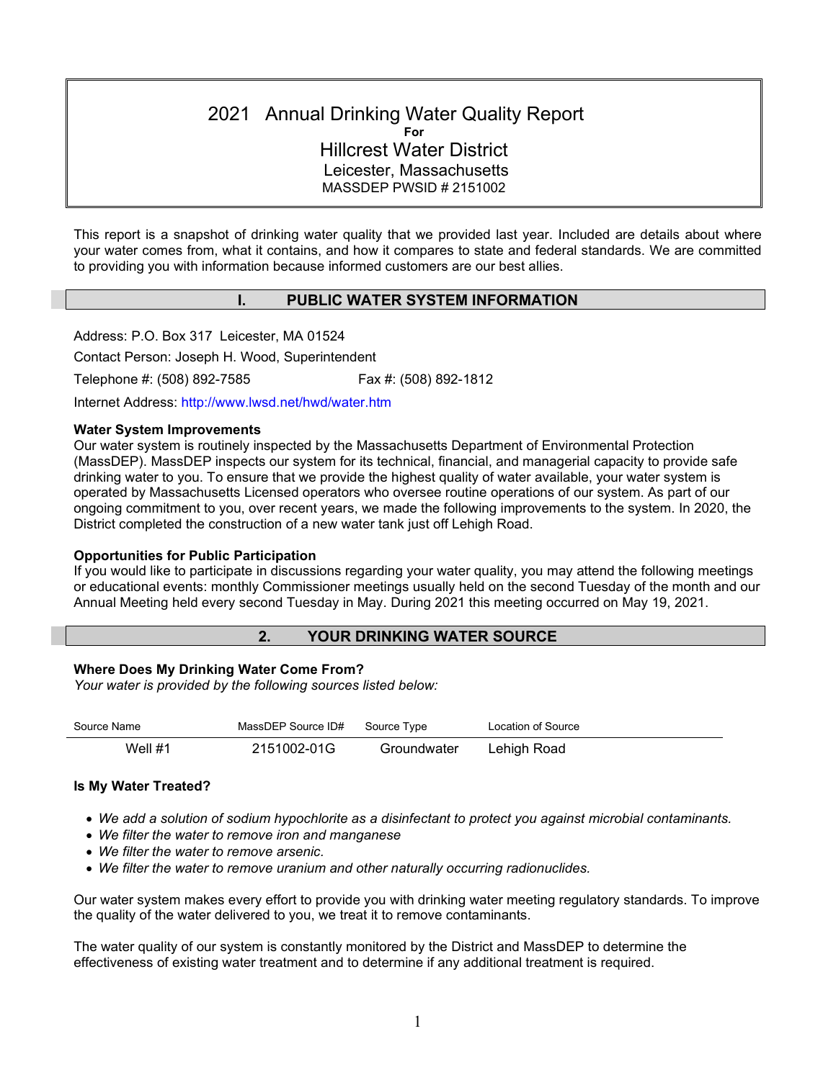# 2021 Annual Drinking Water Quality Report **For** Hillcrest Water District Leicester, Massachusetts MASSDEP PWSID # 2151002

This report is a snapshot of drinking water quality that we provided last year. Included are details about where your water comes from, what it contains, and how it compares to state and federal standards. We are committed to providing you with information because informed customers are our best allies.

# **I. PUBLIC WATER SYSTEM INFORMATION**

Address: P.O. Box 317 Leicester, MA 01524

Contact Person: Joseph H. Wood, Superintendent

Telephone #: (508) 892-7585 Fax #: (508) 892-1812

Internet Address: http://www.lwsd.net/hwd/water.htm

### **Water System Improvements**

Our water system is routinely inspected by the Massachusetts Department of Environmental Protection (MassDEP). MassDEP inspects our system for its technical, financial, and managerial capacity to provide safe drinking water to you. To ensure that we provide the highest quality of water available, your water system is operated by Massachusetts Licensed operators who oversee routine operations of our system. As part of our ongoing commitment to you, over recent years, we made the following improvements to the system. In 2020, the District completed the construction of a new water tank just off Lehigh Road.

## **Opportunities for Public Participation**

If you would like to participate in discussions regarding your water quality, you may attend the following meetings or educational events: monthly Commissioner meetings usually held on the second Tuesday of the month and our Annual Meeting held every second Tuesday in May. During 2021 this meeting occurred on May 19, 2021.

# **2. YOUR DRINKING WATER SOURCE**

### **Where Does My Drinking Water Come From?**

*Your water is provided by the following sources listed below:*

| Source Name | MassDEP Source ID# | Source Type | Location of Source |
|-------------|--------------------|-------------|--------------------|
| Well $#1$   | 2151002-01G        | Groundwater | Lehigh Road        |

## **Is My Water Treated?**

- *We add a solution of sodium hypochlorite as a disinfectant to protect you against microbial contaminants.*
- *We filter the water to remove iron and manganese*
- *We filter the water to remove arsenic.*
- *We filter the water to remove uranium and other naturally occurring radionuclides.*

Our water system makes every effort to provide you with drinking water meeting regulatory standards. To improve the quality of the water delivered to you, we treat it to remove contaminants.

The water quality of our system is constantly monitored by the District and MassDEP to determine the effectiveness of existing water treatment and to determine if any additional treatment is required.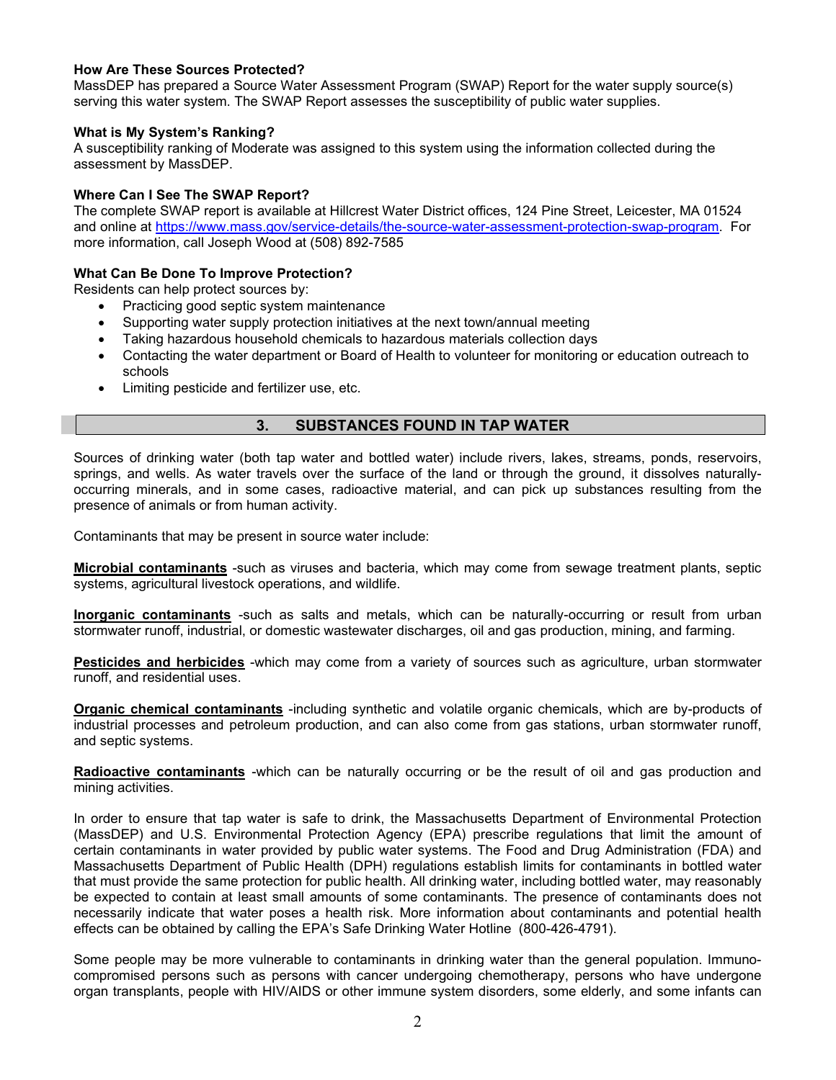### **How Are These Sources Protected?**

MassDEP has prepared a Source Water Assessment Program (SWAP) Report for the water supply source(s) serving this water system. The SWAP Report assesses the susceptibility of public water supplies.

### **What is My System's Ranking?**

A susceptibility ranking of Moderate was assigned to this system using the information collected during the assessment by MassDEP.

### **Where Can I See The SWAP Report?**

The complete SWAP report is available at Hillcrest Water District offices, 124 Pine Street, Leicester, MA 01524 and online at [https://www.mass.gov/service-details/the-source-water-assessment-protection-swap-program.](https://www.mass.gov/service-details/the-source-water-assessment-protection-swap-program) For more information, call Joseph Wood at (508) 892-7585

### **What Can Be Done To Improve Protection?**

Residents can help protect sources by:

- Practicing good septic system maintenance
- Supporting water supply protection initiatives at the next town/annual meeting
- Taking hazardous household chemicals to hazardous materials collection days
- Contacting the water department or Board of Health to volunteer for monitoring or education outreach to schools
- Limiting pesticide and fertilizer use, etc.

## **3. SUBSTANCES FOUND IN TAP WATER**

Sources of drinking water (both tap water and bottled water) include rivers, lakes, streams, ponds, reservoirs, springs, and wells. As water travels over the surface of the land or through the ground, it dissolves naturallyoccurring minerals, and in some cases, radioactive material, and can pick up substances resulting from the presence of animals or from human activity.

Contaminants that may be present in source water include:

**Microbial contaminants** -such as viruses and bacteria, which may come from sewage treatment plants, septic systems, agricultural livestock operations, and wildlife.

**Inorganic contaminants** -such as salts and metals, which can be naturally-occurring or result from urban stormwater runoff, industrial, or domestic wastewater discharges, oil and gas production, mining, and farming.

**Pesticides and herbicides** -which may come from a variety of sources such as agriculture, urban stormwater runoff, and residential uses.

**Organic chemical contaminants** -including synthetic and volatile organic chemicals, which are by-products of industrial processes and petroleum production, and can also come from gas stations, urban stormwater runoff, and septic systems.

**Radioactive contaminants** -which can be naturally occurring or be the result of oil and gas production and mining activities.

In order to ensure that tap water is safe to drink, the Massachusetts Department of Environmental Protection (MassDEP) and U.S. Environmental Protection Agency (EPA) prescribe regulations that limit the amount of certain contaminants in water provided by public water systems. The Food and Drug Administration (FDA) and Massachusetts Department of Public Health (DPH) regulations establish limits for contaminants in bottled water that must provide the same protection for public health. All drinking water, including bottled water, may reasonably be expected to contain at least small amounts of some contaminants. The presence of contaminants does not necessarily indicate that water poses a health risk. More information about contaminants and potential health effects can be obtained by calling the EPA's Safe Drinking Water Hotline (800-426-4791).

Some people may be more vulnerable to contaminants in drinking water than the general population. Immunocompromised persons such as persons with cancer undergoing chemotherapy, persons who have undergone organ transplants, people with HIV/AIDS or other immune system disorders, some elderly, and some infants can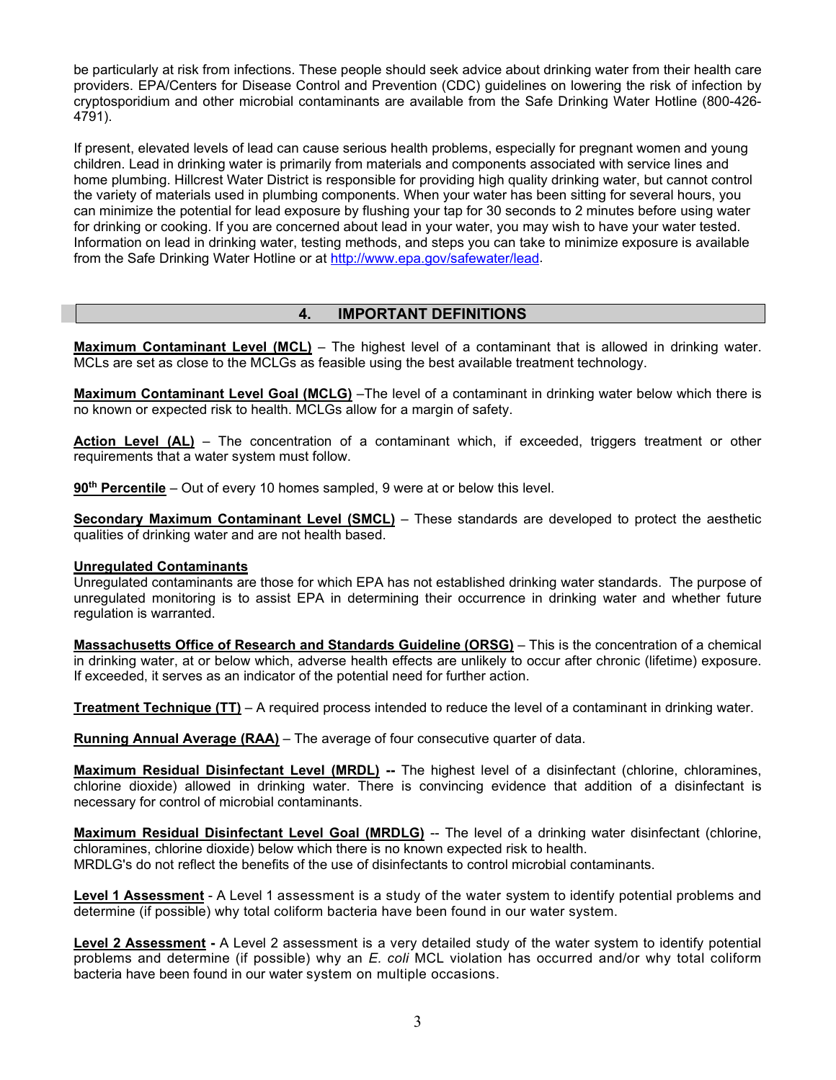be particularly at risk from infections. These people should seek advice about drinking water from their health care providers. EPA/Centers for Disease Control and Prevention (CDC) guidelines on lowering the risk of infection by cryptosporidium and other microbial contaminants are available from the Safe Drinking Water Hotline (800-426- 4791).

If present, elevated levels of lead can cause serious health problems, especially for pregnant women and young children. Lead in drinking water is primarily from materials and components associated with service lines and home plumbing. Hillcrest Water District is responsible for providing high quality drinking water, but cannot control the variety of materials used in plumbing components. When your water has been sitting for several hours, you can minimize the potential for lead exposure by flushing your tap for 30 seconds to 2 minutes before using water for drinking or cooking. If you are concerned about lead in your water, you may wish to have your water tested. Information on lead in drinking water, testing methods, and steps you can take to minimize exposure is available from the Safe Drinking Water Hotline or at [http://www.epa.gov/safewater/lead.](http://www.epa.gov/safewater/lead)

## **4. IMPORTANT DEFINITIONS**

**Maximum Contaminant Level (MCL)** – The highest level of a contaminant that is allowed in drinking water. MCLs are set as close to the MCLGs as feasible using the best available treatment technology.

**Maximum Contaminant Level Goal (MCLG)** –The level of a contaminant in drinking water below which there is no known or expected risk to health. MCLGs allow for a margin of safety.

**Action Level (AL)** – The concentration of a contaminant which, if exceeded, triggers treatment or other requirements that a water system must follow.

90<sup>th</sup> Percentile – Out of every 10 homes sampled, 9 were at or below this level.

**Secondary Maximum Contaminant Level (SMCL)** – These standards are developed to protect the aesthetic qualities of drinking water and are not health based.

### **Unregulated Contaminants**

Unregulated contaminants are those for which EPA has not established drinking water standards. The purpose of unregulated monitoring is to assist EPA in determining their occurrence in drinking water and whether future regulation is warranted.

**Massachusetts Office of Research and Standards Guideline (ORSG)** – This is the concentration of a chemical in drinking water, at or below which, adverse health effects are unlikely to occur after chronic (lifetime) exposure. If exceeded, it serves as an indicator of the potential need for further action.

**Treatment Technique (TT)** – A required process intended to reduce the level of a contaminant in drinking water.

**Running Annual Average (RAA)** – The average of four consecutive quarter of data.

**Maximum Residual Disinfectant Level (MRDL) --** The highest level of a disinfectant (chlorine, chloramines, chlorine dioxide) allowed in drinking water. There is convincing evidence that addition of a disinfectant is necessary for control of microbial contaminants.

**Maximum Residual Disinfectant Level Goal (MRDLG)** -- The level of a drinking water disinfectant (chlorine, chloramines, chlorine dioxide) below which there is no known expected risk to health. MRDLG's do not reflect the benefits of the use of disinfectants to control microbial contaminants.

**Level 1 Assessment** - A Level 1 assessment is a study of the water system to identify potential problems and determine (if possible) why total coliform bacteria have been found in our water system.

**Level 2 Assessment -** A Level 2 assessment is a very detailed study of the water system to identify potential problems and determine (if possible) why an *E. coli* MCL violation has occurred and/or why total coliform bacteria have been found in our water system on multiple occasions.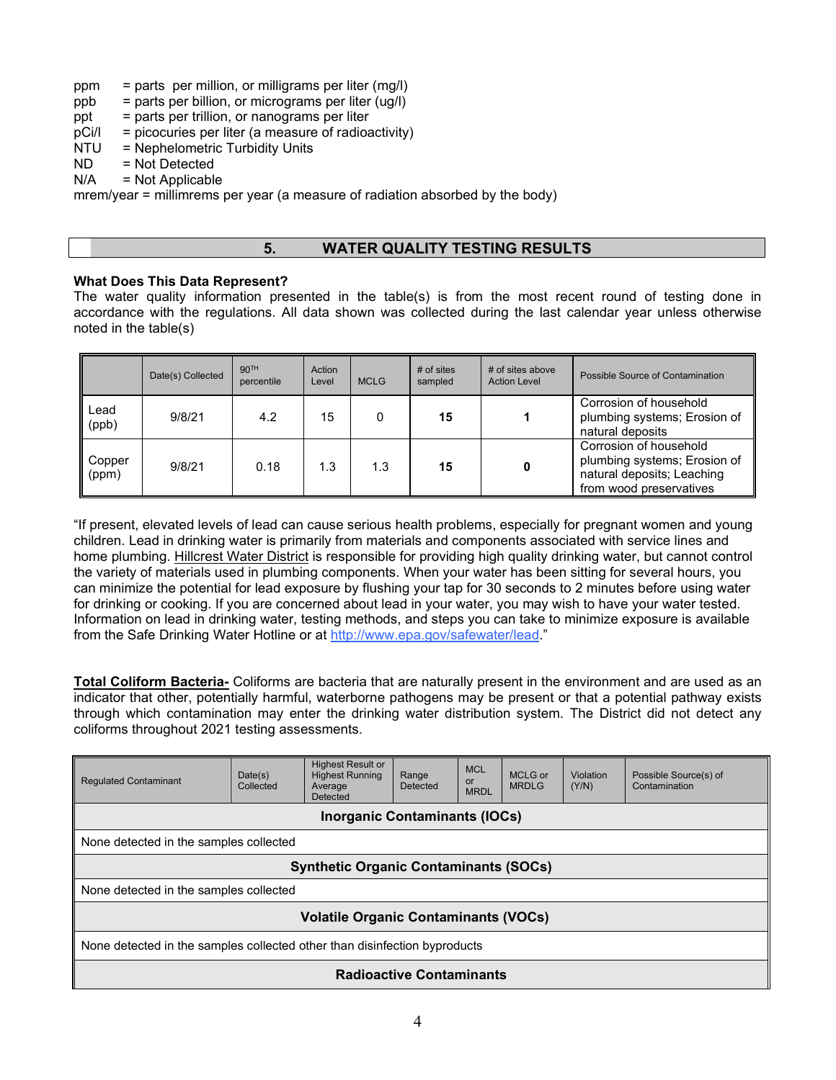- ppm = parts per million, or milligrams per liter (mg/l)
- $ppb = parts per billion, or micrograms per liter (ug/l)$
- $ppt = parts per trillion, or nanograms per liter$
- $pCi/1 = picocuries per liter (a measure of radioactivity)$
- NTU = Nephelometric Turbidity Units
- $ND$  = Not Detected<br> $N/A$  = Not Applicable
- $=$  Not Applicable

mrem/year = millimrems per year (a measure of radiation absorbed by the body)

## **5. WATER QUALITY TESTING RESULTS**

### **What Does This Data Represent?**

The water quality information presented in the table(s) is from the most recent round of testing done in accordance with the regulations. All data shown was collected during the last calendar year unless otherwise noted in the table(s)

|                 | Date(s) Collected | 90 <sup>TH</sup><br>percentile | Action<br>Level | <b>MCLG</b> | $#$ of sites<br>sampled | # of sites above<br><b>Action Level</b> | Possible Source of Contamination                                                                                |
|-----------------|-------------------|--------------------------------|-----------------|-------------|-------------------------|-----------------------------------------|-----------------------------------------------------------------------------------------------------------------|
| Lead<br>(ppb)   | 9/8/21            | 4.2                            | 15              |             | 15                      |                                         | Corrosion of household<br>plumbing systems; Erosion of<br>natural deposits                                      |
| Copper<br>(ppm) | 9/8/21            | 0.18                           | 1.3             | 1.3         | 15                      |                                         | Corrosion of household<br>plumbing systems; Erosion of<br>natural deposits; Leaching<br>from wood preservatives |

"If present, elevated levels of lead can cause serious health problems, especially for pregnant women and young children. Lead in drinking water is primarily from materials and components associated with service lines and home plumbing. Hillcrest Water District is responsible for providing high quality drinking water, but cannot control the variety of materials used in plumbing components. When your water has been sitting for several hours, you can minimize the potential for lead exposure by flushing your tap for 30 seconds to 2 minutes before using water for drinking or cooking. If you are concerned about lead in your water, you may wish to have your water tested. Information on lead in drinking water, testing methods, and steps you can take to minimize exposure is available from the Safe Drinking Water Hotline or at [http://www.epa.gov/safewater/lead."](http://www.epa.gov/safewater/lead)

**Total Coliform Bacteria-** Coliforms are bacteria that are naturally present in the environment and are used as an indicator that other, potentially harmful, waterborne pathogens may be present or that a potential pathway exists through which contamination may enter the drinking water distribution system. The District did not detect any coliforms throughout 2021 testing assessments.

| <b>Regulated Contaminant</b>                                              | Date(s)<br>Collected                   | <b>Highest Result or</b><br><b>Highest Running</b><br>Average<br>Detected | Range<br>Detected | <b>MCL</b><br>or<br><b>MRDL</b> | MCLG or<br><b>MRDLG</b> | Violation<br>(Y/N) | Possible Source(s) of<br>Contamination |
|---------------------------------------------------------------------------|----------------------------------------|---------------------------------------------------------------------------|-------------------|---------------------------------|-------------------------|--------------------|----------------------------------------|
|                                                                           | Inorganic Contaminants (IOCs)          |                                                                           |                   |                                 |                         |                    |                                        |
|                                                                           | None detected in the samples collected |                                                                           |                   |                                 |                         |                    |                                        |
| <b>Synthetic Organic Contaminants (SOCs)</b>                              |                                        |                                                                           |                   |                                 |                         |                    |                                        |
| None detected in the samples collected                                    |                                        |                                                                           |                   |                                 |                         |                    |                                        |
| <b>Volatile Organic Contaminants (VOCs)</b>                               |                                        |                                                                           |                   |                                 |                         |                    |                                        |
| None detected in the samples collected other than disinfection byproducts |                                        |                                                                           |                   |                                 |                         |                    |                                        |
| <b>Radioactive Contaminants</b>                                           |                                        |                                                                           |                   |                                 |                         |                    |                                        |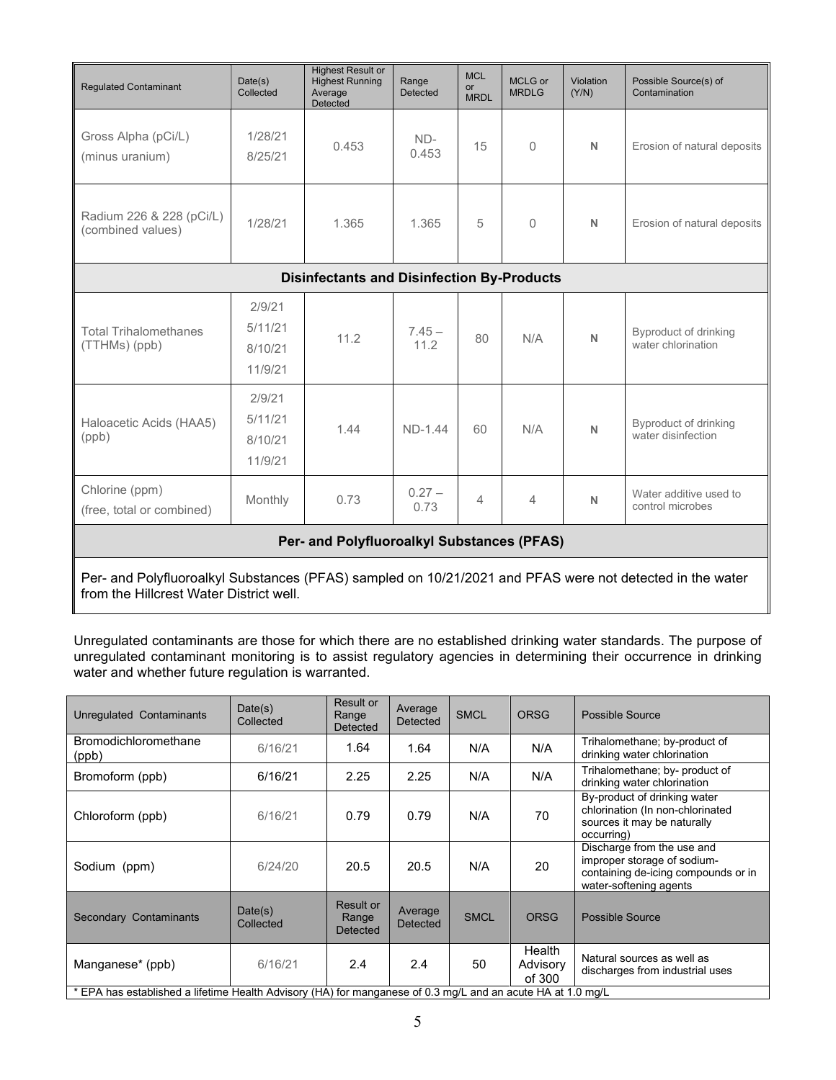| <b>Regulated Contaminant</b>                      | Date(s)<br>Collected                    | <b>Highest Result or</b><br><b>Highest Running</b><br>Average<br>Detected | Range<br>Detected | <b>MCL</b><br><b>or</b><br><b>MRDL</b> | MCLG or<br><b>MRDLG</b> | Violation<br>(Y/N) | Possible Source(s) of<br>Contamination      |  |
|---------------------------------------------------|-----------------------------------------|---------------------------------------------------------------------------|-------------------|----------------------------------------|-------------------------|--------------------|---------------------------------------------|--|
| Gross Alpha (pCi/L)<br>(minus uranium)            | 1/28/21<br>8/25/21                      | 0.453                                                                     | ND-<br>0.453      | 15                                     | $\Omega$                | $\mathsf{N}$       | Erosion of natural deposits                 |  |
| Radium 226 & 228 (pCi/L)<br>(combined values)     | 1/28/21                                 | 1.365                                                                     | 1.365             | 5                                      | $\Omega$                | $\mathsf{N}$       | Erosion of natural deposits                 |  |
| <b>Disinfectants and Disinfection By-Products</b> |                                         |                                                                           |                   |                                        |                         |                    |                                             |  |
| <b>Total Trihalomethanes</b><br>(TTHMs) (ppb)     | 2/9/21<br>5/11/21<br>8/10/21<br>11/9/21 | 11.2                                                                      | $7.45 -$<br>11.2  | 80                                     | N/A                     | $\mathsf{N}$       | Byproduct of drinking<br>water chlorination |  |
| Haloacetic Acids (HAA5)<br>(ppb)                  | 2/9/21<br>5/11/21<br>8/10/21<br>11/9/21 | 1.44                                                                      | ND-1.44           | 60                                     | N/A                     | $\mathsf{N}$       | Byproduct of drinking<br>water disinfection |  |
| Chlorine (ppm)<br>(free, total or combined)       | Monthly                                 | 0.73                                                                      | $0.27 -$<br>0.73  | 4                                      | 4                       | $\mathsf{N}$       | Water additive used to<br>control microbes  |  |
| Per- and Polyfluoroalkyl Substances (PFAS)        |                                         |                                                                           |                   |                                        |                         |                    |                                             |  |
|                                                   |                                         |                                                                           |                   |                                        |                         |                    |                                             |  |

Per- and Polyfluoroalkyl Substances (PFAS) sampled on 10/21/2021 and PFAS were not detected in the water from the Hillcrest Water District well.

Unregulated contaminants are those for which there are no established drinking water standards. The purpose of unregulated contaminant monitoring is to assist regulatory agencies in determining their occurrence in drinking water and whether future regulation is warranted.

| Unregulated Contaminants                                                                                    | Date(s)<br>Collected | Result or<br>Range<br><b>Detected</b> | Average<br>Detected | <b>SMCL</b> | <b>ORSG</b>                  | Possible Source                                                                                                            |  |
|-------------------------------------------------------------------------------------------------------------|----------------------|---------------------------------------|---------------------|-------------|------------------------------|----------------------------------------------------------------------------------------------------------------------------|--|
| <b>Bromodichloromethane</b><br>(ppb)                                                                        | 6/16/21              | 1.64                                  | 1.64                | N/A         | N/A                          | Trihalomethane; by-product of<br>drinking water chlorination                                                               |  |
| Bromoform (ppb)                                                                                             | 6/16/21              | 2.25                                  | 2.25                | N/A         | N/A                          | Trihalomethane; by- product of<br>drinking water chlorination                                                              |  |
| Chloroform (ppb)                                                                                            | 6/16/21              | 0.79                                  | 0.79                | N/A         | 70                           | By-product of drinking water<br>chlorination (In non-chlorinated<br>sources it may be naturally<br>occurring)              |  |
| Sodium (ppm)                                                                                                | 6/24/20              | 20.5                                  | 20.5                | N/A         | 20                           | Discharge from the use and<br>improper storage of sodium-<br>containing de-icing compounds or in<br>water-softening agents |  |
| Secondary Contaminants                                                                                      | Date(s)<br>Collected | Result or<br>Range<br><b>Detected</b> | Average<br>Detected | <b>SMCL</b> | <b>ORSG</b>                  | Possible Source                                                                                                            |  |
| Manganese* (ppb)                                                                                            | 6/16/21              | 2.4                                   | 2.4                 | 50          | Health<br>Advisory<br>of 300 | Natural sources as well as<br>discharges from industrial uses                                                              |  |
| * EPA has established a lifetime Health Advisory (HA) for manganese of 0.3 mg/L and an acute HA at 1.0 mg/L |                      |                                       |                     |             |                              |                                                                                                                            |  |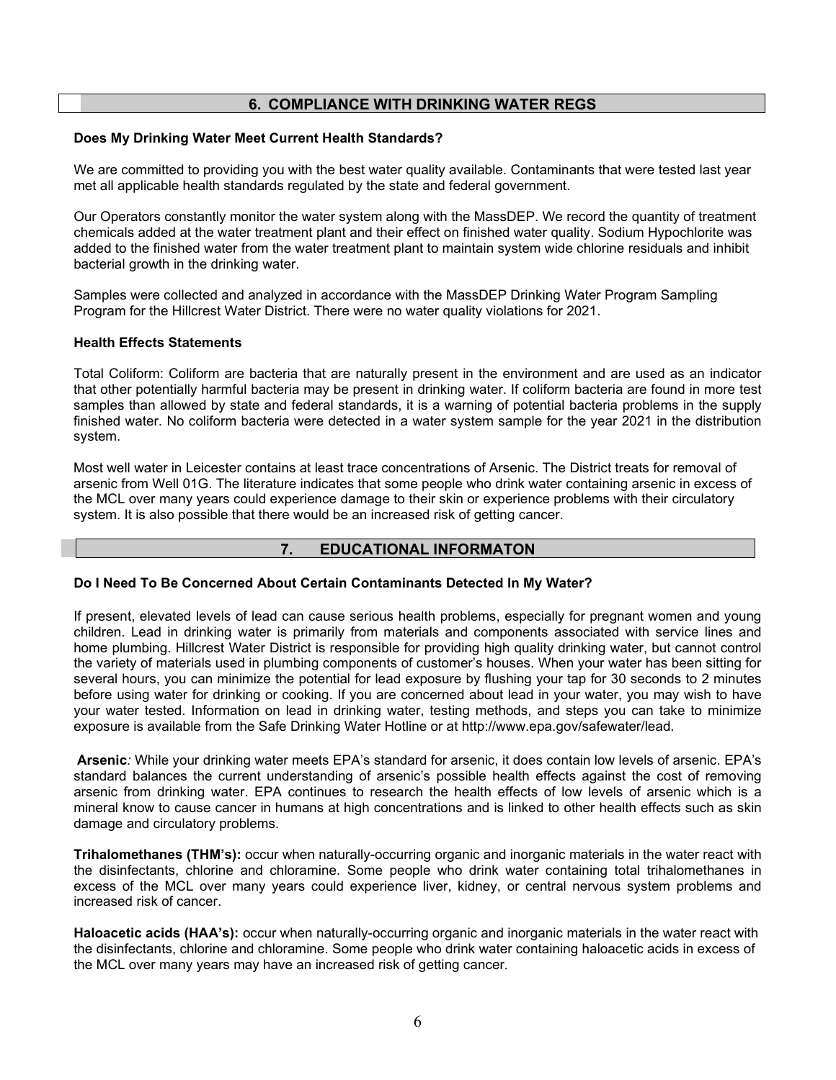## **6. COMPLIANCE WITH DRINKING WATER REGS**

#### **Does My Drinking Water Meet Current Health Standards?**

We are committed to providing you with the best water quality available. Contaminants that were tested last year met all applicable health standards regulated by the state and federal government.

Our Operators constantly monitor the water system along with the MassDEP. We record the quantity of treatment chemicals added at the water treatment plant and their effect on finished water quality. Sodium Hypochlorite was added to the finished water from the water treatment plant to maintain system wide chlorine residuals and inhibit bacterial growth in the drinking water.

Samples were collected and analyzed in accordance with the MassDEP Drinking Water Program Sampling Program for the Hillcrest Water District. There were no water quality violations for 2021.

#### **Health Effects Statements**

Total Coliform: Coliform are bacteria that are naturally present in the environment and are used as an indicator that other potentially harmful bacteria may be present in drinking water. If coliform bacteria are found in more test samples than allowed by state and federal standards, it is a warning of potential bacteria problems in the supply finished water. No coliform bacteria were detected in a water system sample for the year 2021 in the distribution system.

Most well water in Leicester contains at least trace concentrations of Arsenic. The District treats for removal of arsenic from Well 01G. The literature indicates that some people who drink water containing arsenic in excess of the MCL over many years could experience damage to their skin or experience problems with their circulatory system. It is also possible that there would be an increased risk of getting cancer.

## **7. EDUCATIONAL INFORMATON**

#### **Do I Need To Be Concerned About Certain Contaminants Detected In My Water?**

If present, elevated levels of lead can cause serious health problems, especially for pregnant women and young children. Lead in drinking water is primarily from materials and components associated with service lines and home plumbing. Hillcrest Water District is responsible for providing high quality drinking water, but cannot control the variety of materials used in plumbing components of customer's houses. When your water has been sitting for several hours, you can minimize the potential for lead exposure by flushing your tap for 30 seconds to 2 minutes before using water for drinking or cooking. If you are concerned about lead in your water, you may wish to have your water tested. Information on lead in drinking water, testing methods, and steps you can take to minimize exposure is available from the Safe Drinking Water Hotline or at [http://www.epa.gov/safewater/lead.](http://www.epa.gov/safewater/lead)

**Arsenic***:* While your drinking water meets EPA's standard for arsenic, it does contain low levels of arsenic. EPA's standard balances the current understanding of arsenic's possible health effects against the cost of removing arsenic from drinking water. EPA continues to research the health effects of low levels of arsenic which is a mineral know to cause cancer in humans at high concentrations and is linked to other health effects such as skin damage and circulatory problems.

**Trihalomethanes (THM's):** occur when naturally-occurring organic and inorganic materials in the water react with the disinfectants, chlorine and chloramine. Some people who drink water containing total trihalomethanes in excess of the MCL over many years could experience liver, kidney, or central nervous system problems and increased risk of cancer.

**Haloacetic acids (HAA's):** occur when naturally-occurring organic and inorganic materials in the water react with the disinfectants, chlorine and chloramine. Some people who drink water containing haloacetic acids in excess of the MCL over many years may have an increased risk of getting cancer.